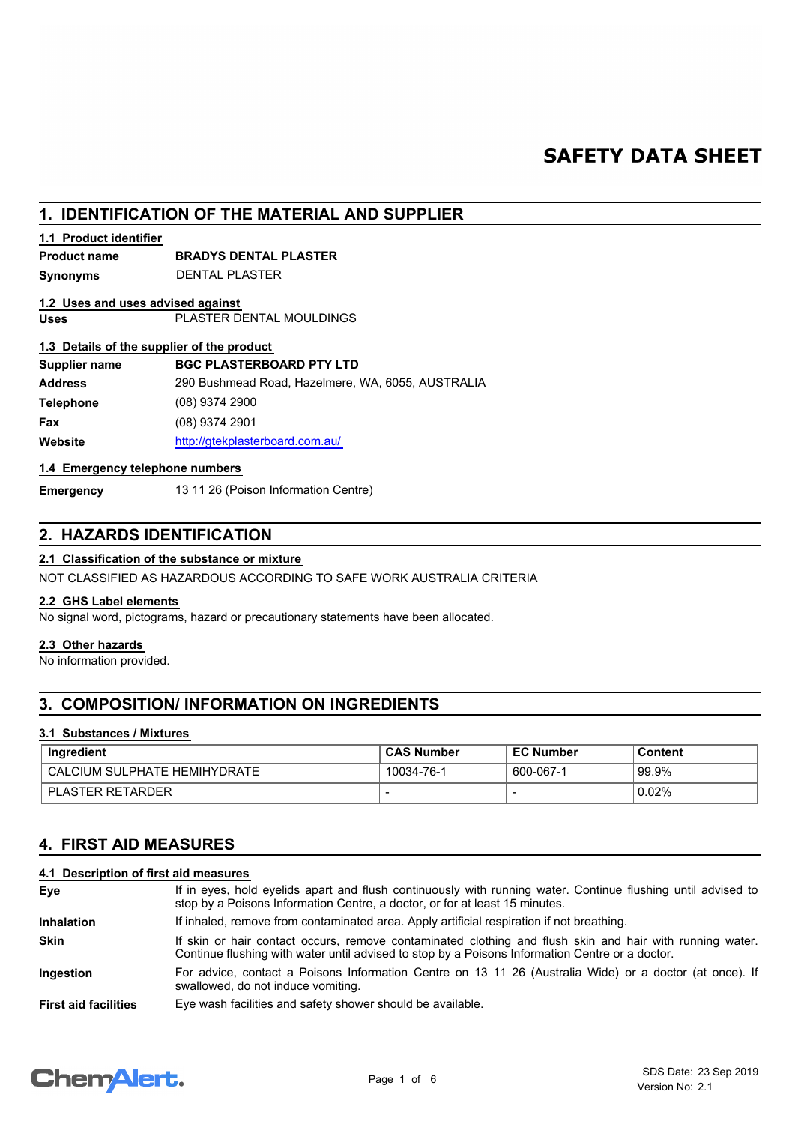# **SAFETY DATA SHEET**

# **1. IDENTIFICATION OF THE MATERIAL AND SUPPLIER**

# **1.1 Product identifier**

# **Product name BRADYS DENTAL PLASTER**

**Synonyms** DENTAL PLASTER

# **Uses** PLASTER DENTAL MOULDINGS **1.2 Uses and uses advised against**

# **1.3 Details of the supplier of the product**

| Supplier name    | <b>BGC PLASTERBOARD PTY LTD</b>                   |
|------------------|---------------------------------------------------|
| <b>Address</b>   | 290 Bushmead Road, Hazelmere, WA, 6055, AUSTRALIA |
| <b>Telephone</b> | $(08)$ 9374 2900                                  |
| Fax              | (08) 9374 2901                                    |
| Website          | http://gtekplasterboard.com.au/                   |

# **1.4 Emergency telephone numbers**

**Emergency** 13 11 26 (Poison Information Centre)

# **2. HAZARDS IDENTIFICATION**

# **2.1 Classification of the substance or mixture**

NOT CLASSIFIED AS HAZARDOUS ACCORDING TO SAFE WORK AUSTRALIA CRITERIA

# **2.2 GHS Label elements**

No signal word, pictograms, hazard or precautionary statements have been allocated.

# **2.3 Other hazards**

No information provided.

# **3. COMPOSITION/ INFORMATION ON INGREDIENTS**

# **3.1 Substances / Mixtures**

| Ingredient                    | ⊦CAS Number | <b>EC Number</b> | Content |
|-------------------------------|-------------|------------------|---------|
| LCALCIUM SULPHATE HEMIHYDRATE | 10034-76-1  | 600-067-1        | 99.9%   |
| <b>PLASTER RETARDER</b>       |             |                  | 0.02%   |

# **4. FIRST AID MEASURES**

# **4.1 Description of first aid measures**

| Eye                         | If in eyes, hold eyelids apart and flush continuously with running water. Continue flushing until advised to<br>stop by a Poisons Information Centre, a doctor, or for at least 15 minutes.                 |
|-----------------------------|-------------------------------------------------------------------------------------------------------------------------------------------------------------------------------------------------------------|
| <b>Inhalation</b>           | If inhaled, remove from contaminated area. Apply artificial respiration if not breathing.                                                                                                                   |
| <b>Skin</b>                 | If skin or hair contact occurs, remove contaminated clothing and flush skin and hair with running water.<br>Continue flushing with water until advised to stop by a Poisons Information Centre or a doctor. |
| Ingestion                   | For advice, contact a Poisons Information Centre on 13 11 26 (Australia Wide) or a doctor (at once). If<br>swallowed, do not induce vomiting.                                                               |
| <b>First aid facilities</b> | Eye wash facilities and safety shower should be available.                                                                                                                                                  |

# **Chemalert.**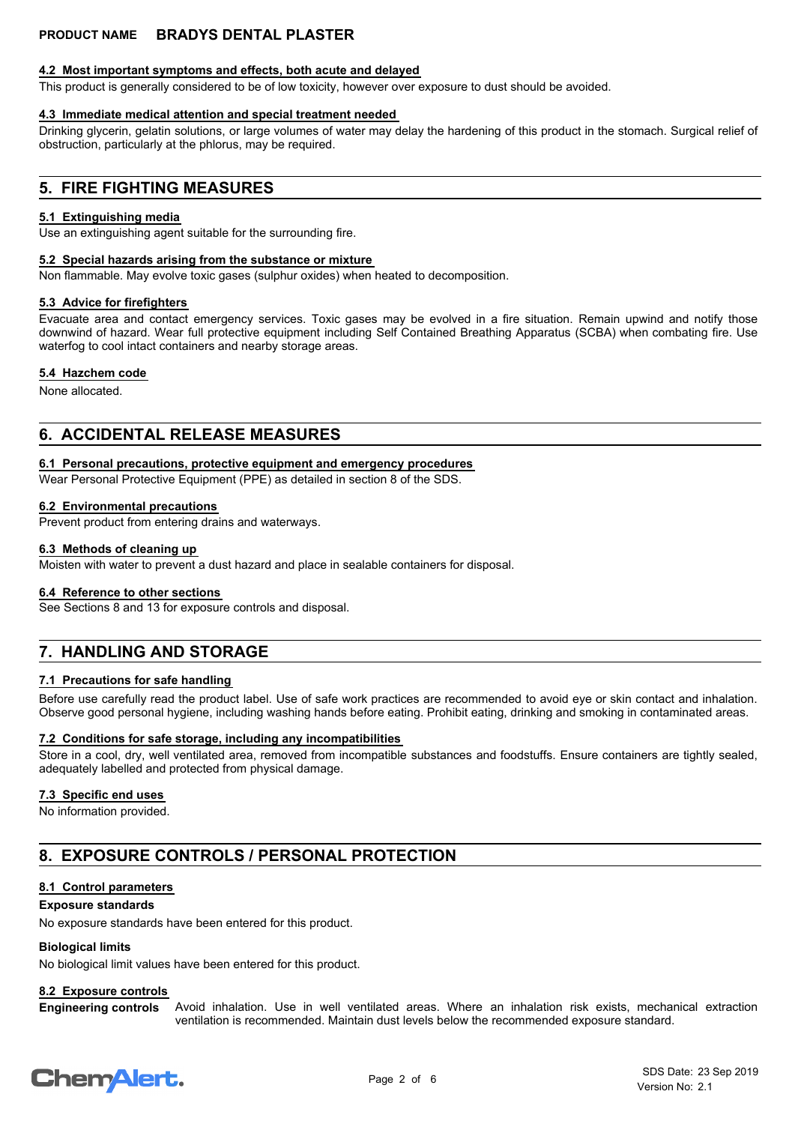# **4.2 Most important symptoms and effects, both acute and delayed**

This product is generally considered to be of low toxicity, however over exposure to dust should be avoided.

# **4.3 Immediate medical attention and special treatment needed**

Drinking glycerin, gelatin solutions, or large volumes of water may delay the hardening of this product in the stomach. Surgical relief of obstruction, particularly at the phlorus, may be required.

# **5. FIRE FIGHTING MEASURES**

### **5.1 Extinguishing media**

Use an extinguishing agent suitable for the surrounding fire.

### **5.2 Special hazards arising from the substance or mixture**

Non flammable. May evolve toxic gases (sulphur oxides) when heated to decomposition.

### **5.3 Advice for firefighters**

Evacuate area and contact emergency services. Toxic gases may be evolved in a fire situation. Remain upwind and notify those downwind of hazard. Wear full protective equipment including Self Contained Breathing Apparatus (SCBA) when combating fire. Use waterfog to cool intact containers and nearby storage areas.

### **5.4 Hazchem code**

None allocated.

# **6. ACCIDENTAL RELEASE MEASURES**

### **6.1 Personal precautions, protective equipment and emergency procedures**

Wear Personal Protective Equipment (PPE) as detailed in section 8 of the SDS.

### **6.2 Environmental precautions**

Prevent product from entering drains and waterways.

### **6.3 Methods of cleaning up**

Moisten with water to prevent a dust hazard and place in sealable containers for disposal.

### **6.4 Reference to other sections**

See Sections 8 and 13 for exposure controls and disposal.

# **7. HANDLING AND STORAGE**

# **7.1 Precautions for safe handling**

Before use carefully read the product label. Use of safe work practices are recommended to avoid eye or skin contact and inhalation. Observe good personal hygiene, including washing hands before eating. Prohibit eating, drinking and smoking in contaminated areas.

# **7.2 Conditions for safe storage, including any incompatibilities**

Store in a cool, dry, well ventilated area, removed from incompatible substances and foodstuffs. Ensure containers are tightly sealed, adequately labelled and protected from physical damage.

# **7.3 Specific end uses**

No information provided.

# **8. EXPOSURE CONTROLS / PERSONAL PROTECTION**

# **8.1 Control parameters**

### **Exposure standards**

No exposure standards have been entered for this product.

# **Biological limits**

No biological limit values have been entered for this product.

# **8.2 Exposure controls**

Avoid inhalation. Use in well ventilated areas. Where an inhalation risk exists, mechanical extraction ventilation is recommended. Maintain dust levels below the recommended exposure standard. **Engineering controls**

# **ChemAlert.**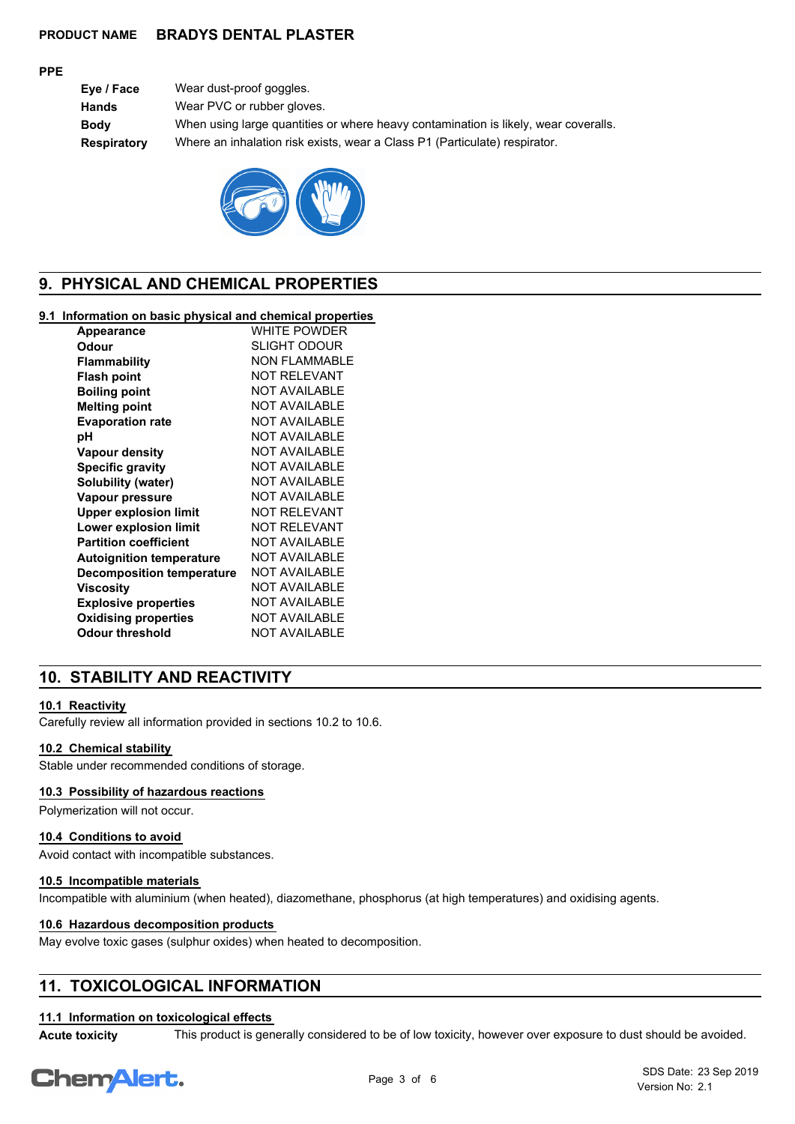### **PPE**

| Eye / Face  | Wear dust-proof goggles.                                                            |
|-------------|-------------------------------------------------------------------------------------|
| Hands       | Wear PVC or rubber gloves.                                                          |
| Bodv        | When using large quantities or where heavy contamination is likely, wear coveralls. |
| Respiratory | Where an inhalation risk exists, wear a Class P1 (Particulate) respirator.          |
|             |                                                                                     |



# **9. PHYSICAL AND CHEMICAL PROPERTIES**

# **9.1 Information on basic physical and chemical properties**

| <b>Appearance</b>                | <b>WHITE POWDER</b>  |
|----------------------------------|----------------------|
| Odour                            | SLIGHT ODOUR         |
| <b>Flammability</b>              | <b>NON FLAMMABLE</b> |
| <b>Flash point</b>               | NOT RFI FVANT        |
| <b>Boiling point</b>             | <b>NOT AVAILABLE</b> |
| <b>Melting point</b>             | <b>NOT AVAILABLE</b> |
| <b>Evaporation rate</b>          | <b>NOT AVAILABLE</b> |
| рH                               | <b>NOT AVAILABLE</b> |
| <b>Vapour density</b>            | <b>NOT AVAILABLE</b> |
| <b>Specific gravity</b>          | <b>NOT AVAILABLE</b> |
| Solubility (water)               | <b>NOT AVAILABLE</b> |
| Vapour pressure                  | NOT AVAII ABI F      |
| <b>Upper explosion limit</b>     | NOT RFI FVANT        |
| Lower explosion limit            | <b>NOT RELEVANT</b>  |
| <b>Partition coefficient</b>     | <b>NOT AVAILABLE</b> |
| <b>Autoignition temperature</b>  | <b>NOT AVAILABLE</b> |
| <b>Decomposition temperature</b> | <b>NOT AVAILABLE</b> |
| Viscosity                        | <b>NOT AVAILABLE</b> |
| <b>Explosive properties</b>      | <b>NOT AVAILABLE</b> |
| <b>Oxidising properties</b>      | <b>NOT AVAILABLE</b> |
| <b>Odour threshold</b>           | <b>NOT AVAILABLE</b> |
|                                  |                      |

# **10. STABILITY AND REACTIVITY**

# **10.1 Reactivity**

Carefully review all information provided in sections 10.2 to 10.6.

### **10.2 Chemical stability**

Stable under recommended conditions of storage.

# **10.3 Possibility of hazardous reactions**

Polymerization will not occur.

### **10.4 Conditions to avoid**

Avoid contact with incompatible substances.

### **10.5 Incompatible materials**

Incompatible with aluminium (when heated), diazomethane, phosphorus (at high temperatures) and oxidising agents.

### **10.6 Hazardous decomposition products**

May evolve toxic gases (sulphur oxides) when heated to decomposition.

# **11. TOXICOLOGICAL INFORMATION**

### **11.1 Information on toxicological effects**

**Acute toxicity** This product is generally considered to be of low toxicity, however over exposure to dust should be avoided.

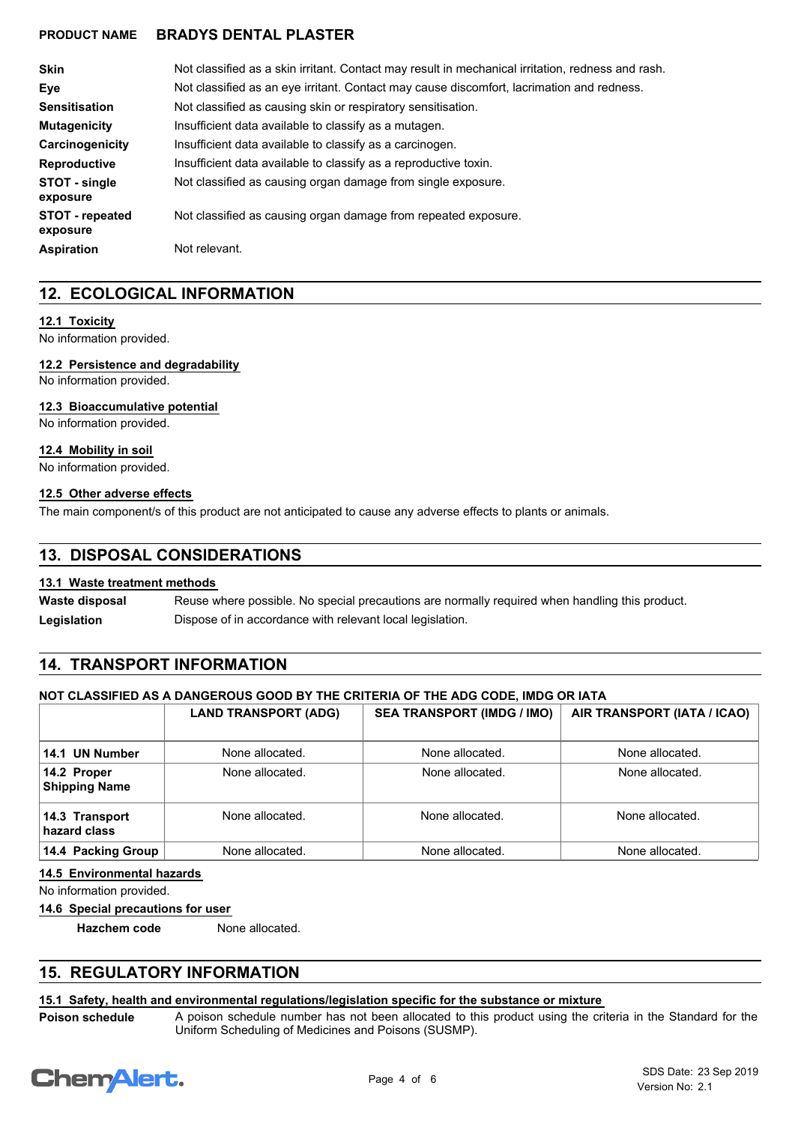| <b>Skin</b>                 | Not classified as a skin irritant. Contact may result in mechanical irritation, redness and rash. |
|-----------------------------|---------------------------------------------------------------------------------------------------|
| Eve                         | Not classified as an eye irritant. Contact may cause discomfort, lacrimation and redness.         |
| <b>Sensitisation</b>        | Not classified as causing skin or respiratory sensitisation.                                      |
| <b>Mutagenicity</b>         | Insufficient data available to classify as a mutagen.                                             |
| Carcinogenicity             | Insufficient data available to classify as a carcinogen.                                          |
| <b>Reproductive</b>         | Insufficient data available to classify as a reproductive toxin.                                  |
| STOT - single<br>exposure   | Not classified as causing organ damage from single exposure.                                      |
| STOT - repeated<br>exposure | Not classified as causing organ damage from repeated exposure.                                    |
| <b>Aspiration</b>           | Not relevant.                                                                                     |

# **12. ECOLOGICAL INFORMATION**

# **12.1 Toxicity**

No information provided.

# **12.2 Persistence and degradability**

No information provided.

# **12.3 Bioaccumulative potential**

No information provided.

### **12.4 Mobility in soil**

No information provided.

### **12.5 Other adverse effects**

The main component/s of this product are not anticipated to cause any adverse effects to plants or animals.

# **13. DISPOSAL CONSIDERATIONS**

# **13.1 Waste treatment methods**

Reuse where possible. No special precautions are normally required when handling this product. **Waste disposal** Legislation **Dispose of in accordance with relevant local legislation.** 

# **14. TRANSPORT INFORMATION**

# **NOT CLASSIFIED AS A DANGEROUS GOOD BY THE CRITERIA OF THE ADG CODE, IMDG OR IATA**

|                                     | <b>LAND TRANSPORT (ADG)</b> | <b>SEA TRANSPORT (IMDG / IMO)</b> | AIR TRANSPORT (IATA / ICAO) |
|-------------------------------------|-----------------------------|-----------------------------------|-----------------------------|
| 14.1 UN Number                      | None allocated.             | None allocated.                   | None allocated.             |
| 14.2 Proper<br><b>Shipping Name</b> | None allocated.             | None allocated.                   | None allocated.             |
| 14.3 Transport<br>hazard class      | None allocated.             | None allocated.                   | None allocated.             |
| 14.4 Packing Group                  | None allocated.             | None allocated.                   | None allocated.             |

# **14.5 Environmental hazards**

No information provided.

**14.6 Special precautions for user**

**Hazchem code** None allocated.

# **15. REGULATORY INFORMATION**

# **15.1 Safety, health and environmental regulations/legislation specific for the substance or mixture**

**Poison schedule**

A poison schedule number has not been allocated to this product using the criteria in the Standard for the Uniform Scheduling of Medicines and Poisons (SUSMP).

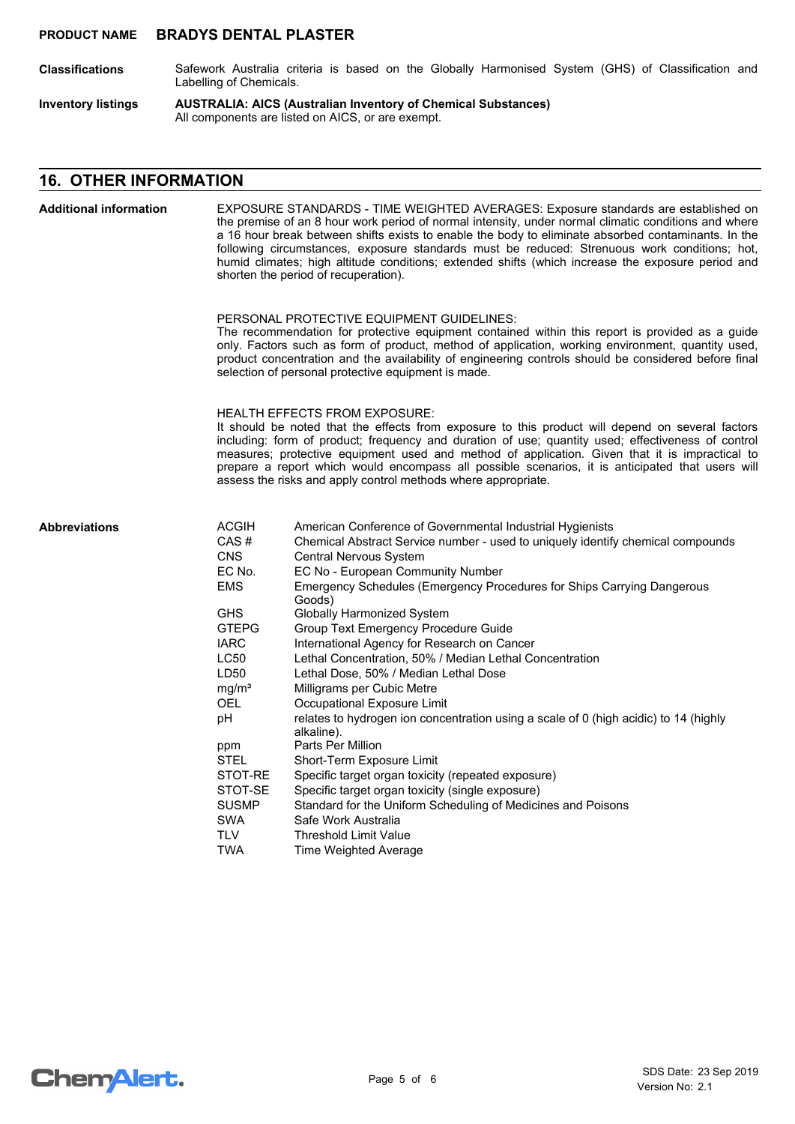- Safework Australia criteria is based on the Globally Harmonised System (GHS) of Classification and Labelling of Chemicals. **Classifications**
- **AUSTRALIA: AICS (Australian Inventory of Chemical Substances)** All components are listed on AICS, or are exempt. **Inventory listings**

# **16. OTHER INFORMATION**

| <b>Additional information</b> | EXPOSURE STANDARDS - TIME WEIGHTED AVERAGES: Exposure standards are established on<br>the premise of an 8 hour work period of normal intensity, under normal climatic conditions and where<br>a 16 hour break between shifts exists to enable the body to eliminate absorbed contaminants. In the<br>following circumstances, exposure standards must be reduced: Strenuous work conditions; hot,<br>humid climates; high altitude conditions; extended shifts (which increase the exposure period and<br>shorten the period of recuperation). |                                                                                                                                                                                                                                                                                                                                                                                                                                                                                                                                                                                                                                                                                                                                                                                                                                                                                                                                                                                                         |  |  |
|-------------------------------|------------------------------------------------------------------------------------------------------------------------------------------------------------------------------------------------------------------------------------------------------------------------------------------------------------------------------------------------------------------------------------------------------------------------------------------------------------------------------------------------------------------------------------------------|---------------------------------------------------------------------------------------------------------------------------------------------------------------------------------------------------------------------------------------------------------------------------------------------------------------------------------------------------------------------------------------------------------------------------------------------------------------------------------------------------------------------------------------------------------------------------------------------------------------------------------------------------------------------------------------------------------------------------------------------------------------------------------------------------------------------------------------------------------------------------------------------------------------------------------------------------------------------------------------------------------|--|--|
|                               | PERSONAL PROTECTIVE EQUIPMENT GUIDELINES:<br>The recommendation for protective equipment contained within this report is provided as a guide<br>only. Factors such as form of product, method of application, working environment, quantity used,<br>product concentration and the availability of engineering controls should be considered before final<br>selection of personal protective equipment is made.                                                                                                                               |                                                                                                                                                                                                                                                                                                                                                                                                                                                                                                                                                                                                                                                                                                                                                                                                                                                                                                                                                                                                         |  |  |
|                               |                                                                                                                                                                                                                                                                                                                                                                                                                                                                                                                                                | <b>HEALTH EFFECTS FROM EXPOSURE:</b><br>It should be noted that the effects from exposure to this product will depend on several factors<br>including: form of product; frequency and duration of use; quantity used; effectiveness of control<br>measures; protective equipment used and method of application. Given that it is impractical to<br>prepare a report which would encompass all possible scenarios, it is anticipated that users will<br>assess the risks and apply control methods where appropriate.                                                                                                                                                                                                                                                                                                                                                                                                                                                                                   |  |  |
| <b>Abbreviations</b>          | <b>ACGIH</b><br>CAS#<br><b>CNS</b><br>EC No.<br><b>EMS</b><br><b>GHS</b><br><b>GTEPG</b><br><b>IARC</b><br><b>LC50</b><br>LD50<br>mg/m <sup>3</sup><br><b>OEL</b><br>pH<br>ppm<br><b>STEL</b><br>STOT-RE<br>STOT-SE<br><b>SUSMP</b><br><b>SWA</b><br><b>TLV</b><br><b>TWA</b>                                                                                                                                                                                                                                                                  | American Conference of Governmental Industrial Hygienists<br>Chemical Abstract Service number - used to uniquely identify chemical compounds<br>Central Nervous System<br>EC No - European Community Number<br>Emergency Schedules (Emergency Procedures for Ships Carrying Dangerous<br>Goods)<br><b>Globally Harmonized System</b><br>Group Text Emergency Procedure Guide<br>International Agency for Research on Cancer<br>Lethal Concentration, 50% / Median Lethal Concentration<br>Lethal Dose, 50% / Median Lethal Dose<br>Milligrams per Cubic Metre<br>Occupational Exposure Limit<br>relates to hydrogen ion concentration using a scale of 0 (high acidic) to 14 (highly<br>alkaline).<br>Parts Per Million<br>Short-Term Exposure Limit<br>Specific target organ toxicity (repeated exposure)<br>Specific target organ toxicity (single exposure)<br>Standard for the Uniform Scheduling of Medicines and Poisons<br>Safe Work Australia<br>Threshold Limit Value<br>Time Weighted Average |  |  |